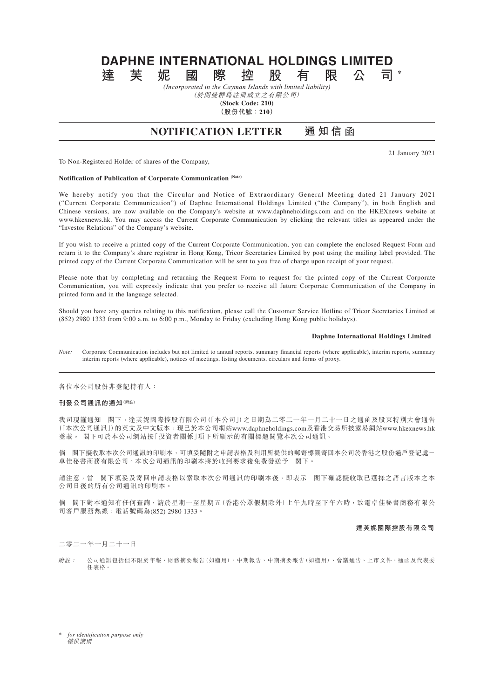# **DAPHNE INTERNATIONAL HOLDINGS LIMITED 達芙妮國際控股有限公司 \***

*(Incorporated in the Cayman Islands with limited liability)*

(於開曼群島註冊成立之有限公司) **(Stock Code: 210)**

**(股份代號:210)**

# **NOTIFICATION LETTER 通知信函**

21 January 2021

To Non-Registered Holder of shares of the Company,

# **Notification of Publication of Corporate Communication (Note)**

We hereby notify you that the Circular and Notice of Extraordinary General Meeting dated 21 January 2021 ("Current Corporate Communication") of Daphne International Holdings Limited ("the Company"), in both English and Chinese versions, are now available on the Company's website at www.daphneholdings.com and on the HKEXnews website at www.hkexnews.hk. You may access the Current Corporate Communication by clicking the relevant titles as appeared under the "Investor Relations" of the Company's website.

If you wish to receive a printed copy of the Current Corporate Communication, you can complete the enclosed Request Form and return it to the Company's share registrar in Hong Kong, Tricor Secretaries Limited by post using the mailing label provided. The printed copy of the Current Corporate Communication will be sent to you free of charge upon receipt of your request.

Please note that by completing and returning the Request Form to request for the printed copy of the Current Corporate Communication, you will expressly indicate that you prefer to receive all future Corporate Communication of the Company in printed form and in the language selected.

Should you have any queries relating to this notification, please call the Customer Service Hotline of Tricor Secretaries Limited at (852) 2980 1333 from 9:00 a.m. to 6:00 p.m., Monday to Friday (excluding Hong Kong public holidays).

#### **Daphne International Holdings Limited**

*Note:* Corporate Communication includes but not limited to annual reports, summary financial reports (where applicable), interim reports, summary interim reports (where applicable), notices of meetings, listing documents, circulars and forms of proxy.

各位本公司股份非登記持有人:

# **刊發公司通訊的通知(附註)**

我司現謹通知 閣下,達芙妮國際控股有限公司(「本公司」)之日期為二零二一年一月二十一日之通函及股東特別大會通告 (「本次公司通訊」)的英文及中文版本,現已於本公司網站www.daphneholdings.com及香港交易所披露易網站www.hkexnews.hk 登載。 閣下可於本公司網站按「投資者關係」項下所顯示的有關標題閱覽本次公司通訊。

倘 閣下擬收取本次公司通訊的印刷本,可填妥隨附之申請表格及利用所提供的郵寄標籤寄回本公司於香港之股份過戶登記處- 卓佳秘書商務有限公司。本次公司通訊的印刷本將於收到要求後免費發送予 閣下。

請注意,當 閣下填妥及寄回申請表格以索取本次公司通訊的印刷本後,即表示 閣下確認擬收取已選擇之語言版本之本 公司日後的所有公司通訊的印刷本。

倘 閣下對本通知有任何查詢,請於星期一至星期五(香港公眾假期除外)上午九時至下午六時,致電卓佳秘書商務有限公 司客戶服務熱線,電話號碼為(852) 2980 1333。

#### **達芙妮國際控股有限公司**

# 二零二一年一月二十一日

附註: 公司通訊包括但不限於年報、財務摘要報告(如適用)、中期報告、中期摘要報告(如適用)、會議通告、上市文件、通函及代表委 任表格。

\* *for identification purpose only* 僅供識別